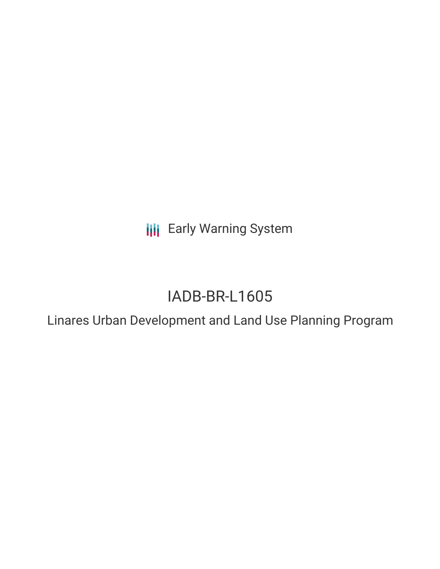**III** Early Warning System

# IADB-BR-L1605

Linares Urban Development and Land Use Planning Program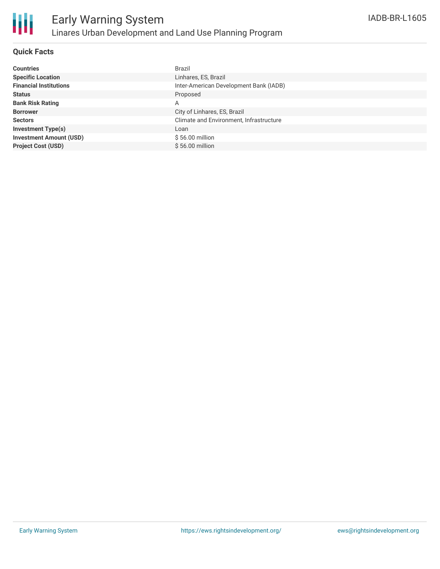

# **Quick Facts**

| <b>Countries</b>               | Brazil                                  |
|--------------------------------|-----------------------------------------|
| <b>Specific Location</b>       | Linhares, ES, Brazil                    |
| <b>Financial Institutions</b>  | Inter-American Development Bank (IADB)  |
| <b>Status</b>                  | Proposed                                |
| <b>Bank Risk Rating</b>        | A                                       |
| <b>Borrower</b>                | City of Linhares, ES, Brazil            |
| <b>Sectors</b>                 | Climate and Environment, Infrastructure |
| <b>Investment Type(s)</b>      | Loan                                    |
| <b>Investment Amount (USD)</b> | $$56.00$ million                        |
| <b>Project Cost (USD)</b>      | \$56.00 million                         |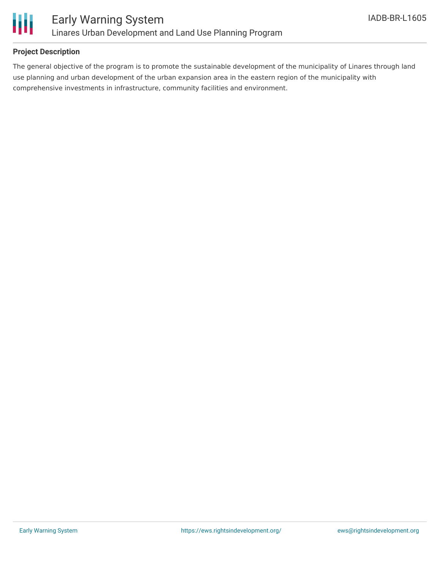

# **Project Description**

The general objective of the program is to promote the sustainable development of the municipality of Linares through land use planning and urban development of the urban expansion area in the eastern region of the municipality with comprehensive investments in infrastructure, community facilities and environment.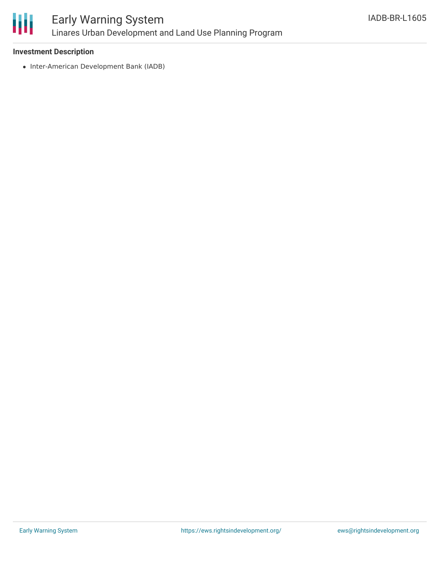

### **Investment Description**

• Inter-American Development Bank (IADB)